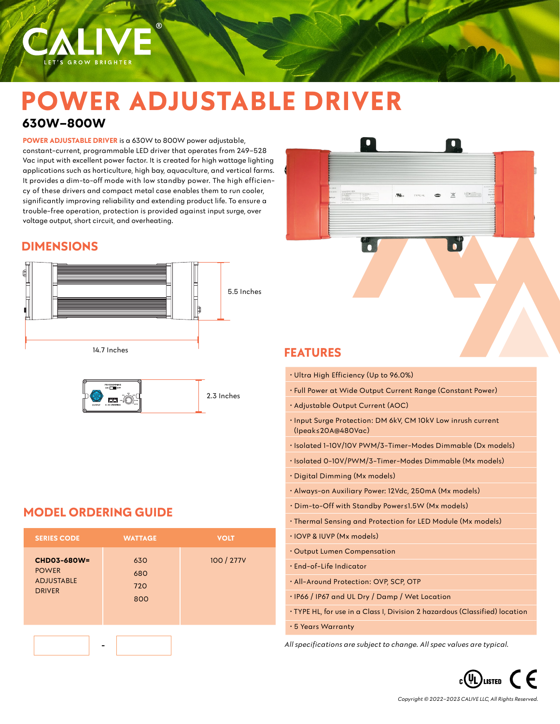

**POWER ADJUSTABLE DRIVER** is a 630W to 800W power adjustable, constant-current, programmable LED driver that operates from 249–528 Vac input with excellent power factor. It is created for high wattage lighting applications such as horticulture, high bay, aquaculture, and vertical farms. It provides a dim-to-off mode with low standby power. The high efficiency of these drivers and compact metal case enables them to run cooler, significantly improving reliability and extending product life. To ensure a trouble-free operation, protection is provided against input surge, over voltage output, short circuit, and overheating.

 $(R)$ 

### **DIMENSIONS**

LET'S GROW BRIGHTER





# **MODEL ORDERING GUIDE**

| <b>SERIES CODE</b>                                                | <b>WATTAGE</b>           | <b>VOLT</b> |
|-------------------------------------------------------------------|--------------------------|-------------|
| CHD03-680W=<br><b>POWER</b><br><b>ADJUSTABLE</b><br><b>DRIVER</b> | 630<br>680<br>720<br>800 | 100 / 277V  |
|                                                                   |                          |             |



# **FEATURES**

| · Ultra High Efficiency (Up to 96.0%)                                                 |
|---------------------------------------------------------------------------------------|
| · Full Power at Wide Output Current Range (Constant Power)                            |
| • Adjustable Output Current (AOC)                                                     |
| . Input Surge Protection: DM 6kV, CM 10kV Low inrush current<br>$($ lpeak≤20A@480Vac) |
| · Isolated 1-10V/10V PWM/3-Timer-Modes Dimmable (Dx models)                           |
| · Isolated 0-10V/PWM/3-Timer-Modes Dimmable (Mx models)                               |
| · Digital Dimming (Mx models)                                                         |
| · Always-on Auxiliary Power: 12Vdc, 250mA (Mx models)                                 |
| • Dim-to-Off with Standby Power≤1.5W (Mx models)                                      |
| · Thermal Sensing and Protection for LED Module (Mx models)                           |
| · IOVP & IUVP (Mx models)                                                             |
| Output Lumen Compensation                                                             |
| · End-of-Life Indicator                                                               |
| · All-Around Protection: OVP, SCP, OTP                                                |
| . IP66 / IP67 and UL Dry / Damp / Wet Location                                        |
| • TYPE HL, for use in a Class I, Division 2 hazardous (Classified) location           |
|                                                                                       |

• 5 Years Warranty

*All specifications are subject to change. All spec values are typical.*

 $_{c}$ (UL) LISTED  $\subset$   $\in$